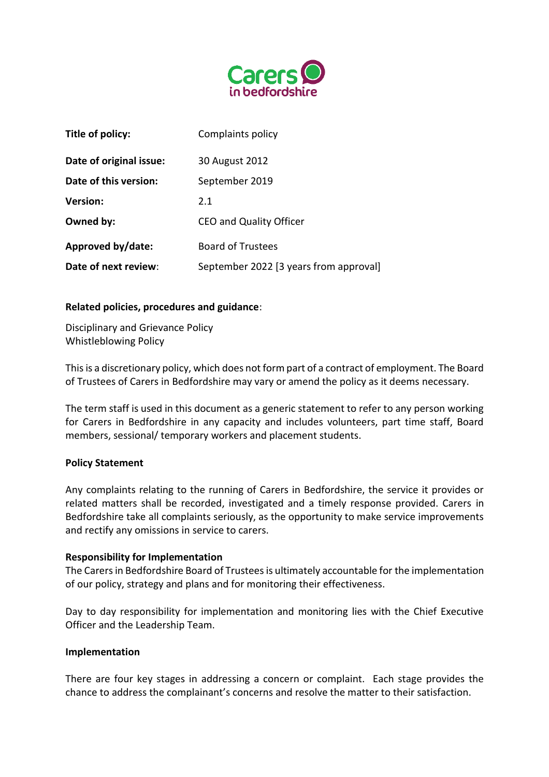

| Title of policy:        | Complaints policy                      |
|-------------------------|----------------------------------------|
| Date of original issue: | 30 August 2012                         |
| Date of this version:   | September 2019                         |
| <b>Version:</b>         | 2.1                                    |
| Owned by:               | CEO and Quality Officer                |
| Approved by/date:       | <b>Board of Trustees</b>               |
| Date of next review:    | September 2022 [3 years from approval] |

### **Related policies, procedures and guidance**:

Disciplinary and Grievance Policy Whistleblowing Policy

This is a discretionary policy, which does not form part of a contract of employment. The Board of Trustees of Carers in Bedfordshire may vary or amend the policy as it deems necessary.

The term staff is used in this document as a generic statement to refer to any person working for Carers in Bedfordshire in any capacity and includes volunteers, part time staff, Board members, sessional/ temporary workers and placement students.

### **Policy Statement**

Any complaints relating to the running of Carers in Bedfordshire, the service it provides or related matters shall be recorded, investigated and a timely response provided. Carers in Bedfordshire take all complaints seriously, as the opportunity to make service improvements and rectify any omissions in service to carers.

### **Responsibility for Implementation**

The Carers in Bedfordshire Board of Trustees is ultimately accountable for the implementation of our policy, strategy and plans and for monitoring their effectiveness.

Day to day responsibility for implementation and monitoring lies with the Chief Executive Officer and the Leadership Team.

### **Implementation**

There are four key stages in addressing a concern or complaint. Each stage provides the chance to address the complainant's concerns and resolve the matter to their satisfaction.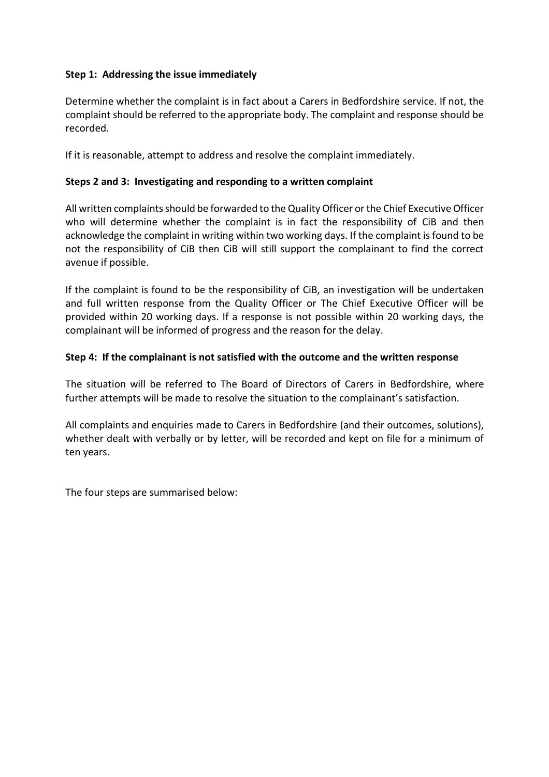# **Step 1: Addressing the issue immediately**

Determine whether the complaint is in fact about a Carers in Bedfordshire service. If not, the complaint should be referred to the appropriate body. The complaint and response should be recorded.

If it is reasonable, attempt to address and resolve the complaint immediately.

# **Steps 2 and 3: Investigating and responding to a written complaint**

All written complaints should be forwarded to the Quality Officer or the Chief Executive Officer who will determine whether the complaint is in fact the responsibility of CiB and then acknowledge the complaint in writing within two working days. If the complaint is found to be not the responsibility of CiB then CiB will still support the complainant to find the correct avenue if possible.

If the complaint is found to be the responsibility of CiB, an investigation will be undertaken and full written response from the Quality Officer or The Chief Executive Officer will be provided within 20 working days. If a response is not possible within 20 working days, the complainant will be informed of progress and the reason for the delay.

## **Step 4: If the complainant is not satisfied with the outcome and the written response**

The situation will be referred to The Board of Directors of Carers in Bedfordshire, where further attempts will be made to resolve the situation to the complainant's satisfaction.

All complaints and enquiries made to Carers in Bedfordshire (and their outcomes, solutions), whether dealt with verbally or by letter, will be recorded and kept on file for a minimum of ten years.

The four steps are summarised below: